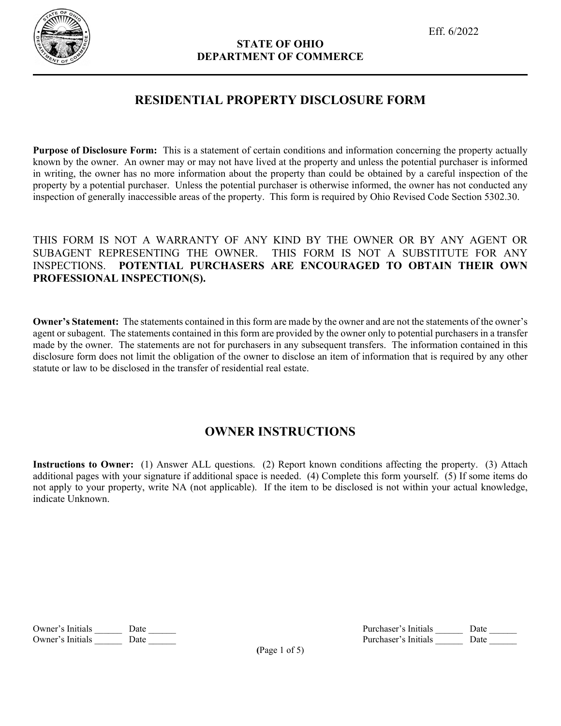

#### **STATE OF OHIO DEPARTMENT OF COMMERCE**

## **RESIDENTIAL PROPERTY DISCLOSURE FORM**

**Purpose of Disclosure Form:** This is a statement of certain conditions and information concerning the property actually known by the owner. An owner may or may not have lived at the property and unless the potential purchaser is informed in writing, the owner has no more information about the property than could be obtained by a careful inspection of the property by a potential purchaser. Unless the potential purchaser is otherwise informed, the owner has not conducted any inspection of generally inaccessible areas of the property. This form is required by Ohio Revised Code Section 5302.30.

THIS FORM IS NOT A WARRANTY OF ANY KIND BY THE OWNER OR BY ANY AGENT OR SUBAGENT REPRESENTING THE OWNER. THIS FORM IS NOT A SUBSTITUTE FOR ANY INSPECTIONS. **POTENTIAL PURCHASERS ARE ENCOURAGED TO OBTAIN THEIR OWN PROFESSIONAL INSPECTION(S).** 

**Owner's Statement:** The statements contained in this form are made by the owner and are not the statements of the owner's agent or subagent. The statements contained in this form are provided by the owner only to potential purchasers in a transfer made by the owner. The statements are not for purchasers in any subsequent transfers. The information contained in this disclosure form does not limit the obligation of the owner to disclose an item of information that is required by any other statute or law to be disclosed in the transfer of residential real estate.

## **OWNER INSTRUCTIONS**

**Instructions to Owner:** (1) Answer ALL questions. (2) Report known conditions affecting the property. (3) Attach additional pages with your signature if additional space is needed. (4) Complete this form yourself. (5) If some items do not apply to your property, write NA (not applicable). If the item to be disclosed is not within your actual knowledge, indicate Unknown.

Owner's Initials Date **Development Contains Containert** Purchaser's Initials Date **Development Contains Contains** 

| Owner | Jate | Jate |
|-------|------|------|
|       |      |      |
| Owner | Jate | Jate |
|       |      |      |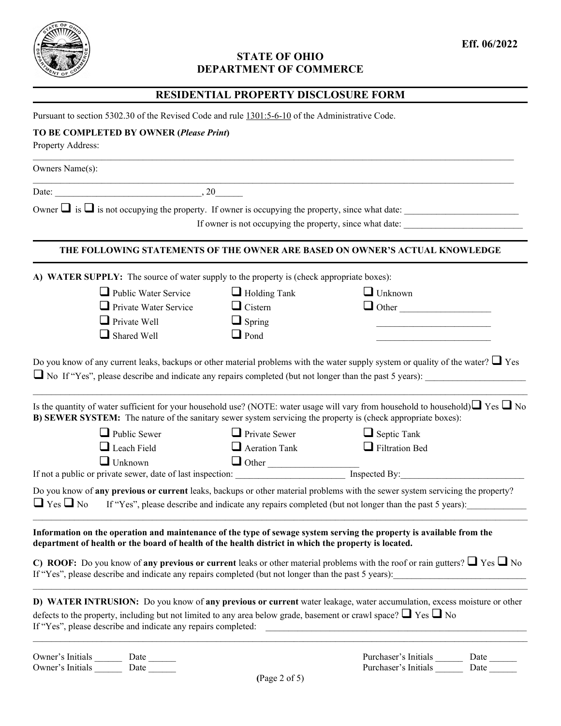

#### **STATE OF OHIO DEPARTMENT OF COMMERCE**

## **Eff. 06/2022**

#### **RESIDENTIAL PROPERTY DISCLOSURE FORM**

|                      | Pursuant to section 5302.30 of the Revised Code and rule 1301:5-6-10 of the Administrative Code.     |                                              |                                                                                                                                                                                                                                                                                                            |
|----------------------|------------------------------------------------------------------------------------------------------|----------------------------------------------|------------------------------------------------------------------------------------------------------------------------------------------------------------------------------------------------------------------------------------------------------------------------------------------------------------|
| Property Address:    | TO BE COMPLETED BY OWNER (Please Print)                                                              |                                              |                                                                                                                                                                                                                                                                                                            |
| Owners Name(s):      |                                                                                                      |                                              |                                                                                                                                                                                                                                                                                                            |
|                      | Date: $\qquad \qquad \qquad .20$                                                                     |                                              |                                                                                                                                                                                                                                                                                                            |
|                      |                                                                                                      |                                              | Owner $\Box$ is $\Box$ is not occupying the property. If owner is occupying the property, since what date:<br>If owner is not occupying the property, since what date:                                                                                                                                     |
|                      |                                                                                                      |                                              | THE FOLLOWING STATEMENTS OF THE OWNER ARE BASED ON OWNER'S ACTUAL KNOWLEDGE                                                                                                                                                                                                                                |
|                      | A) WATER SUPPLY: The source of water supply to the property is (check appropriate boxes):            |                                              |                                                                                                                                                                                                                                                                                                            |
|                      | Public Water Service                                                                                 | $\Box$ Holding Tank                          | $\Box$ Unknown                                                                                                                                                                                                                                                                                             |
|                      | $\Box$ Private Water Service                                                                         | $\Box$ Cistern                               | $\Box$ Other                                                                                                                                                                                                                                                                                               |
|                      | $\Box$ Private Well                                                                                  | $\Box$ Spring                                |                                                                                                                                                                                                                                                                                                            |
|                      | $\Box$ Shared Well                                                                                   | $\Box$ Pond                                  |                                                                                                                                                                                                                                                                                                            |
|                      | $\Box$ Public Sewer<br>$\Box$ Leach Field                                                            | $\Box$ Private Sewer<br>$\Box$ Aeration Tank | Is the quantity of water sufficient for your household use? (NOTE: water usage will vary from household to household) $\Box$ Yes $\Box$ No<br>B) SEWER SYSTEM: The nature of the sanitary sewer system servicing the property is (check appropriate boxes):<br>$\Box$ Septic Tank<br>$\Box$ Filtration Bed |
|                      |                                                                                                      |                                              | If not a public or private sewer, date of last inspection: If not a public or private sewer, date of last inspection:                                                                                                                                                                                      |
| $\Box$ Yes $\Box$ No |                                                                                                      |                                              | Do you know of any previous or current leaks, backups or other material problems with the sewer system servicing the property?<br>If "Yes", please describe and indicate any repairs completed (but not longer than the past 5 years):                                                                     |
|                      | department of health or the board of health of the health district in which the property is located. |                                              | Information on the operation and maintenance of the type of sewage system serving the property is available from the                                                                                                                                                                                       |
|                      | If "Yes", please describe and indicate any repairs completed (but not longer than the past 5 years): |                                              | C) ROOF: Do you know of any previous or current leaks or other material problems with the roof or rain gutters? $\Box$ Yes $\Box$ No                                                                                                                                                                       |
|                      | If "Yes", please describe and indicate any repairs completed:                                        |                                              | D) WATER INTRUSION: Do you know of any previous or current water leakage, water accumulation, excess moisture or other<br>defects to the property, including but not limited to any area below grade, basement or crawl space? $\Box$ Yes $\Box$ No                                                        |
|                      |                                                                                                      |                                              |                                                                                                                                                                                                                                                                                                            |

Owner's Initials Date **Development Development Contains Containing Containing Containing Containing Containing Containing Containing Containing Containing Containing Containing Containing Containing Containing Containing C (**Page 2 of 5)

Owner's Initials Date **Development Development Contains Containing Containing Containing Containing Containing Containing Containing Containing Containing Containing Containing Containing Containing Containing Containing C**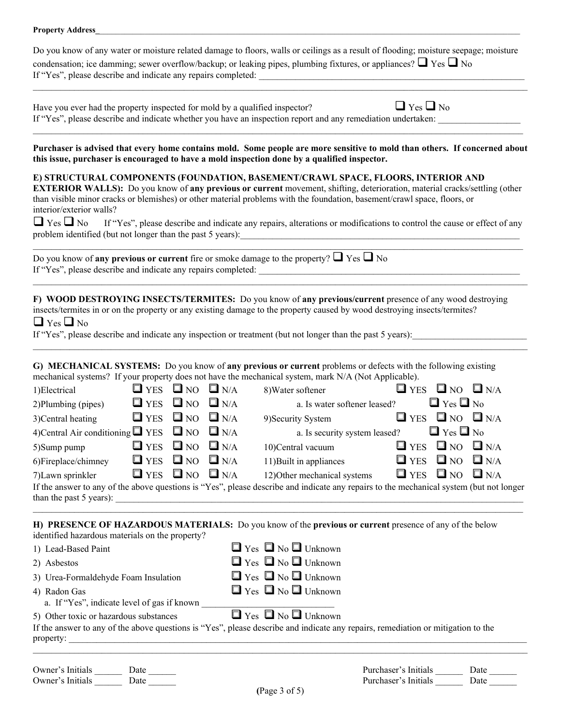| <b>Property Address</b> |  |
|-------------------------|--|
|                         |  |

Do you know of any water or moisture related damage to floors, walls or ceilings as a result of flooding; moisture seepage; moisture condensation; ice damming; sewer overflow/backup; or leaking pipes, plumbing fixtures, or appliances?  $\Box$  Yes  $\Box$  No If "Yes", please describe and indicate any repairs completed:

\_\_\_\_\_\_\_\_\_\_\_\_\_\_\_\_\_\_\_\_\_\_\_\_\_\_\_\_\_\_\_\_\_\_\_\_\_\_\_\_\_\_\_\_\_\_\_\_\_\_\_\_\_\_\_\_\_\_\_\_\_\_\_\_\_\_\_\_\_\_\_\_\_\_\_\_\_\_\_\_\_\_\_\_\_\_\_\_\_\_\_\_\_\_\_\_\_\_\_\_\_\_\_\_\_\_\_\_

Have you ever had the property inspected for mold by a qualified inspector?  $\Box$  Yes  $\Box$  No If "Yes", please describe and indicate whether you have an inspection report and any remediation undertaken:

**Purchaser is advised that every home contains mold. Some people are more sensitive to mold than others. If concerned about this issue, purchaser is encouraged to have a mold inspection done by a qualified inspector.** 

\_\_\_\_\_\_\_\_\_\_\_\_\_\_\_\_\_\_\_\_\_\_\_\_\_\_\_\_\_\_\_\_\_\_\_\_\_\_\_\_\_\_\_\_\_\_\_\_\_\_\_\_\_\_\_\_\_\_\_\_\_\_\_\_\_\_\_\_\_\_\_\_\_\_\_\_\_\_\_\_\_\_\_\_\_\_\_\_\_\_\_\_\_\_\_\_\_\_\_\_\_\_\_\_\_\_\_

**E) STRUCTURAL COMPONENTS (FOUNDATION, BASEMENT/CRAWL SPACE, FLOORS, INTERIOR AND EXTERIOR WALLS):** Do you know of **any previous or current** movement, shifting, deterioration, material cracks/settling (other than visible minor cracks or blemishes) or other material problems with the foundation, basement/crawl space, floors, or interior/exterior walls?

| $\Box$ Yes $\Box$ No If "Yes", please describe and indicate any repairs, alterations or modifications to control the cause or effect of any |
|---------------------------------------------------------------------------------------------------------------------------------------------|
| problem identified (but not longer than the past 5 years):                                                                                  |
|                                                                                                                                             |

\_\_\_\_\_\_\_\_\_\_\_\_\_\_\_\_\_\_\_\_\_\_\_\_\_\_\_\_\_\_\_\_\_\_\_\_\_\_\_\_\_\_\_\_\_\_\_\_\_\_\_\_\_\_\_\_\_\_\_\_\_\_\_\_\_\_\_\_\_\_\_\_\_\_\_\_\_\_\_\_\_\_\_\_\_\_\_\_\_\_\_\_\_\_\_\_\_\_\_\_\_\_\_\_\_\_\_\_

 $\_$  , and the state of the state of the state of the state of the state of the state of the state of the state of the state of the state of the state of the state of the state of the state of the state of the state of the

Do you know of **any previous or current** fire or smoke damage to the property?  $\Box$  Yes  $\Box$  No If "Yes", please describe and indicate any repairs completed:

**F) WOOD DESTROYING INSECTS/TERMITES:** Do you know of **any previous/current** presence of any wood destroying insects/termites in or on the property or any existing damage to the property caused by wood destroying insects/termites?

 $\Box$  Yes  $\Box$  No

If "Yes", please describe and indicate any inspection or treatment (but not longer than the past 5 years):

**G) MECHANICAL SYSTEMS:** Do you know of **any previous or current** problems or defects with the following existing mechanical systems? If your property does not have the mechanical system, mark N/A (Not Applicable).

| 1) Electrical                                              | $\Box$ YES $\Box$ NO $\Box$ N/A |                      | 8) Water softener                                                                                                                       | $\Box$ YES | $\Box$ NO $\Box$ N/A            |            |
|------------------------------------------------------------|---------------------------------|----------------------|-----------------------------------------------------------------------------------------------------------------------------------------|------------|---------------------------------|------------|
| 2) Plumbing (pipes)                                        | $\Box$ YES                      | $\Box$ NO $\Box$ N/A | a. Is water softener leased?                                                                                                            |            | $\Box$ Yes $\Box$ No            |            |
| 3)Central heating                                          | $\Box$ YES $\Box$ NO $\Box$ N/A |                      | 9) Security System                                                                                                                      | $\Box$ YES | $\Box$ NO $\Box$ N/A            |            |
| 4)Central Air conditioning $\Box$ YES $\Box$ NO $\Box$ N/A |                                 |                      | a. Is security system leased?                                                                                                           |            | $\Box$ Yes $\Box$ No            |            |
| 5)Sump pump                                                | $\Box$ YES $\Box$ NO $\Box$ N/A |                      | 10)Central vacuum                                                                                                                       |            | $\Box$ YES $\Box$ NO $\Box$ N/A |            |
| 6)Fireplace/chimney                                        | $\Box$ YES $\Box$ NO $\Box$ N/A |                      | 11) Built in appliances                                                                                                                 | $\Box$ YES | $\Box$ NO                       | $\Box$ N/A |
| 7) Lawn sprinkler                                          | $\Box$ YES $\Box$ NO $\Box$ N/A |                      | 12) Other mechanical systems                                                                                                            |            | $\Box$ YES $\Box$ NO            | $\Box$ N/A |
|                                                            |                                 |                      | If the answer to any of the above questions is "Yes", please describe and indicate any repairs to the mechanical system (but not longer |            |                                 |            |
| than the past 5 years):                                    |                                 |                      |                                                                                                                                         |            |                                 |            |

 $\mathcal{L}_\mathcal{L} = \mathcal{L}_\mathcal{L} = \mathcal{L}_\mathcal{L} = \mathcal{L}_\mathcal{L} = \mathcal{L}_\mathcal{L} = \mathcal{L}_\mathcal{L} = \mathcal{L}_\mathcal{L} = \mathcal{L}_\mathcal{L} = \mathcal{L}_\mathcal{L} = \mathcal{L}_\mathcal{L} = \mathcal{L}_\mathcal{L} = \mathcal{L}_\mathcal{L} = \mathcal{L}_\mathcal{L} = \mathcal{L}_\mathcal{L} = \mathcal{L}_\mathcal{L} = \mathcal{L}_\mathcal{L} = \mathcal{L}_\mathcal{L}$ 

#### **H) PRESENCE OF HAZARDOUS MATERIALS:** Do you know of the **previous or current** presence of any of the below identified hazardous materials on the property?

| 1) Lead-Based Paint                         | $\Box$ Yes $\Box$ No $\Box$ Unknown                                                                                              |
|---------------------------------------------|----------------------------------------------------------------------------------------------------------------------------------|
| 2) Asbestos                                 | $\Box$ Yes $\Box$ No $\Box$ Unknown                                                                                              |
| 3) Urea-Formaldehyde Foam Insulation        | $\Box$ Yes $\Box$ No $\Box$ Unknown                                                                                              |
| 4) Radon Gas                                | $\Box$ Yes $\Box$ No $\Box$ Unknown                                                                                              |
| a. If "Yes", indicate level of gas if known |                                                                                                                                  |
| 5) Other toxic or hazardous substances      | $\Box$ Yes $\Box$ No $\Box$ Unknown                                                                                              |
|                                             | If the answer to any of the above questions is "Yes", please describe and indicate any repairs, remediation or mitigation to the |
| property:                                   |                                                                                                                                  |

| Owner's Initials | Date |  |
|------------------|------|--|
| Owner's Initials | Date |  |

| Owner's<br>Initials  | Jate | Purchaser′s<br>-Initials | Jate |
|----------------------|------|--------------------------|------|
| Owner's<br>-Initials | ate  | Purchaser's Initials     | Jate |

\_\_\_\_\_\_\_\_\_\_\_\_\_\_\_\_\_\_\_\_\_\_\_\_\_\_\_\_\_\_\_\_\_\_\_\_\_\_\_\_\_\_\_\_\_\_\_\_\_\_\_\_\_\_\_\_\_\_\_\_\_\_\_\_\_\_\_\_\_\_\_\_\_\_\_\_\_\_\_\_\_\_\_\_\_\_\_\_\_\_\_\_\_\_\_\_\_\_\_\_\_\_\_\_\_\_\_\_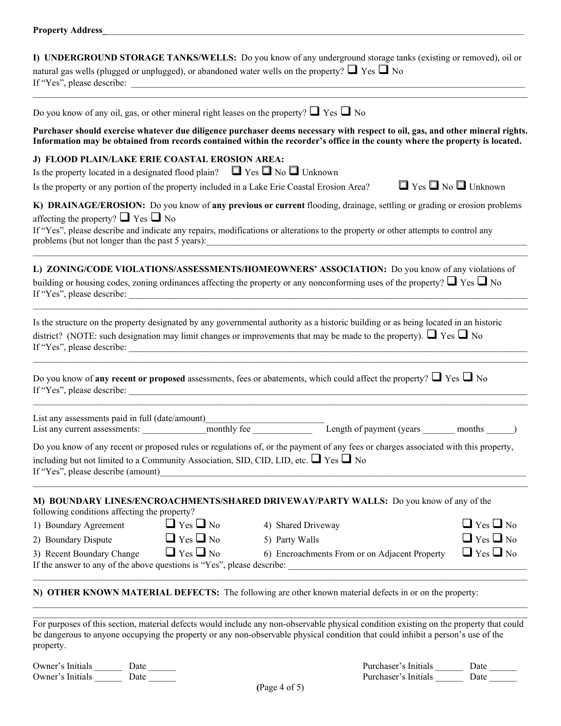| <b>Property Address</b>                                                                          |                      |                                                                                                                                                                                                                                                                                                                                                              |                      |
|--------------------------------------------------------------------------------------------------|----------------------|--------------------------------------------------------------------------------------------------------------------------------------------------------------------------------------------------------------------------------------------------------------------------------------------------------------------------------------------------------------|----------------------|
|                                                                                                  |                      | I) UNDERGROUND STORAGE TANKS/WELLS: Do you know of any underground storage tanks (existing or removed), oil or<br>natural gas wells (plugged or unplugged), or abandoned water wells on the property? $\Box$ Yes $\Box$ No                                                                                                                                   |                      |
|                                                                                                  |                      | Do you know of any oil, gas, or other mineral right leases on the property? $\Box$ Yes $\Box$ No                                                                                                                                                                                                                                                             |                      |
|                                                                                                  |                      | Purchaser should exercise whatever due diligence purchaser deems necessary with respect to oil, gas, and other mineral rights.<br>Information may be obtained from records contained within the recorder's office in the county where the property is located.                                                                                               |                      |
| J) FLOOD PLAIN/LAKE ERIE COASTAL EROSION AREA:                                                   |                      |                                                                                                                                                                                                                                                                                                                                                              |                      |
| Is the property located in a designated flood plain? $\Box$ Yes $\Box$ No $\Box$ Unknown         |                      |                                                                                                                                                                                                                                                                                                                                                              |                      |
|                                                                                                  |                      | $\Box$ Yes $\Box$ No $\Box$ Unknown<br>Is the property or any portion of the property included in a Lake Erie Coastal Erosion Area?                                                                                                                                                                                                                          |                      |
| affecting the property? $\Box$ Yes $\Box$ No<br>problems (but not longer than the past 5 years): |                      | K) DRAINAGE/EROSION: Do you know of any previous or current flooding, drainage, settling or grading or erosion problems<br>If "Yes", please describe and indicate any repairs, modifications or alterations to the property or other attempts to control any<br><u> 1980 - Jan Barbara, margaret eta biztanleria (h. 1980).</u>                              |                      |
|                                                                                                  |                      | L) ZONING/CODE VIOLATIONS/ASSESSMENTS/HOMEOWNERS' ASSOCIATION: Do you know of any violations of<br>building or housing codes, zoning ordinances affecting the property or any nonconforming uses of the property? $\Box$ Yes $\Box$ No                                                                                                                       |                      |
|                                                                                                  |                      | Is the structure on the property designated by any governmental authority as a historic building or as being located in an historic<br>district? (NOTE: such designation may limit changes or improvements that may be made to the property). $\Box$ Yes $\Box$ No                                                                                           |                      |
| If "Yes", please describe:                                                                       |                      | Do you know of any recent or proposed assessments, fees or abatements, which could affect the property? $\Box$ Yes $\Box$ No                                                                                                                                                                                                                                 |                      |
| List any assessments paid in full (date/amount)<br>List any current assessments:                 |                      | Length of payment (years ________ months ______)                                                                                                                                                                                                                                                                                                             |                      |
| If "Yes", please describe (amount)                                                               |                      | Do you know of any recent or proposed rules or regulations of, or the payment of any fees or charges associated with this property,<br>including but not limited to a Community Association, SID, CID, LID, etc. $\Box$ Yes $\Box$ No<br><u> 1989 - Johann Barbara, martxa alemaniar argumento este alemaniar alemaniar alemaniar alemaniar alemaniar al</u> |                      |
| following conditions affecting the property?                                                     |                      | M) BOUNDARY LINES/ENCROACHMENTS/SHARED DRIVEWAY/PARTY WALLS: Do you know of any of the                                                                                                                                                                                                                                                                       |                      |
| 1) Boundary Agreement                                                                            | $\Box$ Yes $\Box$ No | 4) Shared Driveway                                                                                                                                                                                                                                                                                                                                           | $\Box$ Yes $\Box$ No |
| 2) Boundary Dispute                                                                              | $\Box$ Yes $\Box$ No | 5) Party Walls                                                                                                                                                                                                                                                                                                                                               | $\Box$ Yes $\Box$ No |
| 3) Recent Boundary Change                                                                        | $\Box$ Yes $\Box$ No | 6) Encroachments From or on Adjacent Property                                                                                                                                                                                                                                                                                                                | $\Box$ Yes $\Box$ No |
|                                                                                                  |                      | N) OTHER KNOWN MATERIAL DEFECTS: The following are other known material defects in or on the property:                                                                                                                                                                                                                                                       |                      |
|                                                                                                  |                      |                                                                                                                                                                                                                                                                                                                                                              |                      |

For purposes of this section, material defects would include any non-observable physical condition existing on the property that could be dangerous to anyone occupying the property or any non-observable physical condition that could inhibit a person's use of the property.

| Owner'<br>-Initials | Jate | -Initials<br>urchaser´s | Jate |
|---------------------|------|-------------------------|------|
| Owner's Initials    | Jate | Purchaser´s Initials.   | Jate |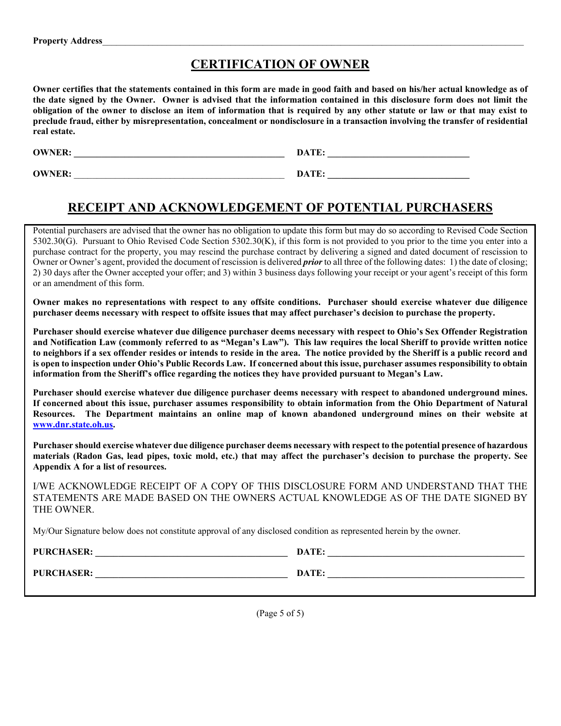## **CERTIFICATION OF OWNER**

**Owner certifies that the statements contained in this form are made in good faith and based on his/her actual knowledge as of the date signed by the Owner. Owner is advised that the information contained in this disclosure form does not limit the obligation of the owner to disclose an item of information that is required by any other statute or law or that may exist to preclude fraud, either by misrepresentation, concealment or nondisclosure in a transaction involving the transfer of residential real estate.**

**OWNER: \_\_\_\_\_\_\_\_\_\_\_\_\_\_\_\_\_\_\_\_\_\_\_\_\_\_\_\_\_\_\_\_\_\_\_\_\_\_\_\_\_\_\_\_\_\_ DATE: \_\_\_\_\_\_\_\_\_\_\_\_\_\_\_\_\_\_\_\_\_\_\_\_\_\_\_\_\_\_\_**

**OWNER:** \_\_\_\_\_\_\_\_\_\_\_\_\_\_\_\_\_\_\_\_\_\_\_\_\_\_\_\_\_\_\_\_\_\_\_\_\_\_\_\_\_\_\_\_\_\_ **DATE: \_\_\_\_\_\_\_\_\_\_\_\_\_\_\_\_\_\_\_\_\_\_\_\_\_\_\_\_\_\_\_**

# **RECEIPT AND ACKNOWLEDGEMENT OF POTENTIAL PURCHASERS**

Potential purchasers are advised that the owner has no obligation to update this form but may do so according to Revised Code Section 5302.30(G). Pursuant to Ohio Revised Code Section 5302.30(K), if this form is not provided to you prior to the time you enter into a purchase contract for the property, you may rescind the purchase contract by delivering a signed and dated document of rescission to Owner or Owner's agent, provided the document of rescission is delivered *prior* to all three of the following dates: 1) the date of closing; 2) 30 days after the Owner accepted your offer; and 3) within 3 business days following your receipt or your agent's receipt of this form or an amendment of this form.

**Owner makes no representations with respect to any offsite conditions. Purchaser should exercise whatever due diligence purchaser deems necessary with respect to offsite issues that may affect purchaser's decision to purchase the property.**

**Purchaser should exercise whatever due diligence purchaser deems necessary with respect to Ohio's Sex Offender Registration and Notification Law (commonly referred to as "Megan's Law"). This law requires the local Sheriff to provide written notice to neighbors if a sex offender resides or intends to reside in the area. The notice provided by the Sheriff is a public record and is open to inspection under Ohio's Public Records Law. If concerned about this issue, purchaser assumes responsibility to obtain information from the Sheriff's office regarding the notices they have provided pursuant to Megan's Law.**

**Purchaser should exercise whatever due diligence purchaser deems necessary with respect to abandoned underground mines. If concerned about this issue, purchaser assumes responsibility to obtain information from the Ohio Department of Natural Resources. The Department maintains an online map of known abandoned underground mines on their website at [www.dnr.state.oh.us.](http://www.dnr.state.oh.us/)**

**Purchaser should exercise whatever due diligence purchaser deems necessary with respect to the potential presence of hazardous materials (Radon Gas, lead pipes, toxic mold, etc.) that may affect the purchaser's decision to purchase the property. See Appendix A for a list of resources.**

I/WE ACKNOWLEDGE RECEIPT OF A COPY OF THIS DISCLOSURE FORM AND UNDERSTAND THAT THE STATEMENTS ARE MADE BASED ON THE OWNERS ACTUAL KNOWLEDGE AS OF THE DATE SIGNED BY THE OWNER.

My/Our Signature below does not constitute approval of any disclosed condition as represented herein by the owner.

| <b>PURCHASER:</b> | DATE: |
|-------------------|-------|
| <b>PURCHASER:</b> | DATE: |

(Page 5 of 5)